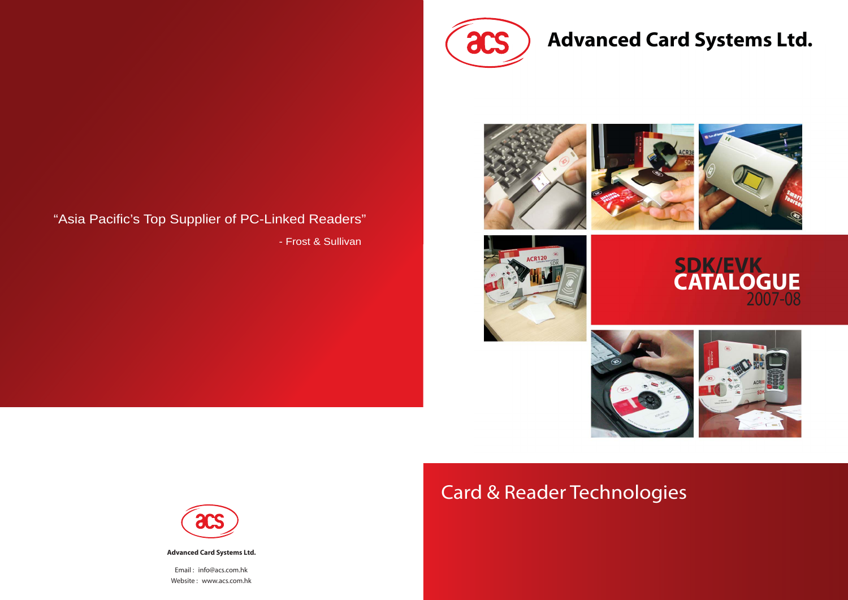

# **Advanced Card Systems Ltd.**













- Frost & Sullivan



# Card & Reader Technologies

# **SDK/EVK** 2007-08 **CATALOGUE**





**Advanced Card Systems Ltd.**

Email : info@acs.com.hk Website : www.acs.com.hk

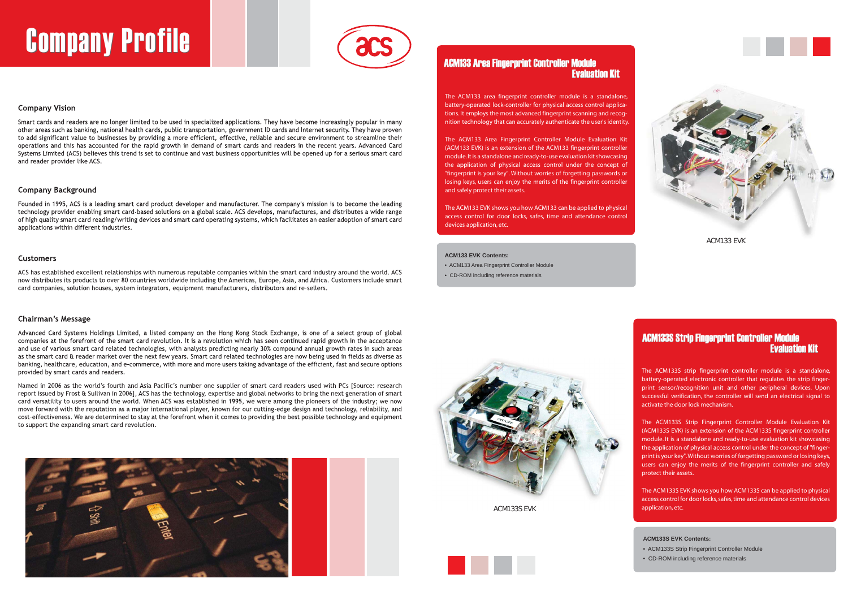# **Company Profile**



# **Company Vision**

Smart cards and readers are no longer limited to be used in specialized applications. They have become increasingly popular in many other areas such as banking, national health cards, public transportation, government ID cards and Internet security. They have proven to add significant value to businesses by providing a more efficient, effective, reliable and secure environment to streamline their operations and this has accounted for the rapid growth in demand of smart cards and readers in the recent years. Advanced Card Systems Limited (ACS) believes this trend is set to continue and vast business opportunities will be opened up for a serious smart card and reader provider like ACS.

# **Company Background**

Founded in 1995, ACS is a leading smart card product developer and manufacturer. The company's mission is to become the leading technology provider enabling smart card-based solutions on a global scale. ACS develops, manufactures, and distributes a wide range of high quality smart card reading/writing devices and smart card operating systems, which facilitates an easier adoption of smart card applications within different industries.

## **Customers**

ACS has established excellent relationships with numerous reputable companies within the smart card industry around the world. ACS now distributes its products to over 80 countries worldwide including the Americas, Europe, Asia, and Africa. Customers include smart card companies, solution houses, system integrators, equipment manufacturers, distributors and re-sellers.

## **Chairman's Message**

Advanced Card Systems Holdings Limited, a listed company on the Hong Kong Stock Exchange, is one of a select group of global companies at the forefront of the smart card revolution. It is a revolution which has seen continued rapid growth in the acceptance and use of various smart card related technologies, with analysts predicting nearly 30% compound annual growth rates in such areas as the smart card & reader market over the next few years. Smart card related technologies are now being used in fields as diverse as banking, healthcare, education, and e-commerce, with more and more users taking advantage of the efficient, fast and secure options provided by smart cards and readers.

Named in 2006 as the world's fourth and Asia Pacific's number one supplier of smart card readers used with PCs [Source: research report issued by Frost & Sullivan in 2006], ACS has the technology, expertise and global networks to bring the next generation of smart card versatility to users around the world. When ACS was established in 1995, we were among the pioneers of the industry; we now move forward with the reputation as a major international player, known for our cutting-edge design and technology, reliability, and cost-effectiveness. We are determined to stay at the forefront when it comes to providing the best possible technology and equipment to support the expanding smart card revolution.



The ACM133 area fingerprint controller module is a standalone, battery-operated lock-controller for physical access control applications. It employs the most advanced fingerprint scanning and recognition technology that can accurately authenticate the user's identity.

The ACM133 Area Fingerprint Controller Module Evaluation Kit (ACM133 EVK) is an extension of the ACM133 fingerprint controller module. It is a standalone and ready-to-use evaluation kit showcasing the application of physical access control under the concept of "fingerprint is your key". Without worries of forgetting passwords or losing keys, users can enjoy the merits of the fingerprint controller and safely protect their assets.

The ACM133 EVK shows you how ACM133 can be applied to physical access control for door locks, safes, time and attendance control devices application, etc.

#### **ACM133 EVK Contents:**

- ACM133 Area Fingerprint Controller Module
- CD-ROM including reference materials



# ACM133 Area Fingerprint Controller Module ACM133 Area Fingerprint Controller Module Evaluation Kit Evaluation Kit

## **ACM133S EVK Contents:**

- ACM133S Strip Fingerprint Controller Module
- CD-ROM including reference materials

The ACM133S strip fingerprint controller module is a standalone, battery-operated electronic controller that regulates the strip fingerprint sensor/recognition unit and other peripheral devices. Upon successful verification, the controller will send an electrical signal to activate the door lock mechanism.

The ACM133S Strip Fingerprint Controller Module Evaluation Kit (ACM133S EVK) is an extension of the ACM133S fingerprint controller module. It is a standalone and ready-to-use evaluation kit showcasing the application of physical access control under the concept of "fingerprint is your key". Without worries of forgetting password or losing keys, users can enjoy the merits of the fingerprint controller and safely protect their assets.

The ACM133S EVK shows you how ACM133S can be applied to physical access control for door locks, safes, time and attendance control devices application, etc.

# ACM133S Strip Fingerprint Controller Module ACM133S Strip Fingerprint Controller Module Evaluation Kit Evaluation Kit



ACM133 EVK

ACM133S EVK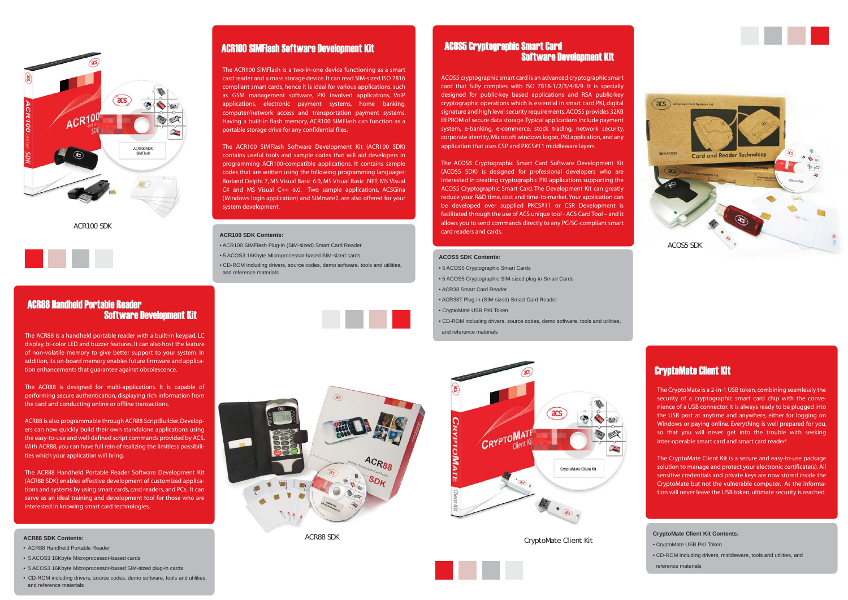ACOS5 cryptographic smart card is an advanced cryptographic smart card that fully complies with ISO 7816-1/2/3/4/8/9. It is specially designed for public-key based applications and RSA public-key cryptographic operations which is essential in smart card PKI, digital signature and high level security requirements. ACOS5 provides 32KB EEPROM of secure data storage. Typical applications include payment system, e-banking, e-commerce, stock trading, network security, corporate identity, Microsoft windows logon, PKI application, and any application that uses CSP and PKCS#11 middleware layers.

The ACOS5 Cryptographic Smart Card Software Development Kit (ACOS5 SDK) is designed for professional developers who are interested in creating cryptographic PKI applications supporting the ACOS5 Cryptographic Smart Card. The Development Kit can greatly reduce your R&D time, cost and time-to-market. Your application can be developed over supplied PKCS#11 or CSP. Development is facilitated through the use of ACS unique tool - ACS Card Tool – and it allows you to send commands directly to any PC/SC-compliant smart card readers and cards.

#### **ACOS5 SDK Contents:**

- 5 ACOS5 Cryptographic Smart Cards
- 5 ACOS5 Cryptographic SIM-sized plug-in Smart Cards
- ACR38 Smart Card Reader
- ACR38T Plug-in (SIM-sized) Smart Card Reader
- CryptoMate USB PKI Token
- CD-ROM including drivers, source codes, demo software, tools and utilities, and reference materials



# ACOS5 Cryptographic Smart Card ACOS5 Cryptographic Smart Card Software Development KitSoftware Development Kit

The CryptoMate is a 2-in-1 USB token, combining seamlessly the security of a cryptographic smart card chip with the convenience of a USB connector. It is always ready to be plugged into the USB port at anytime and anywhere, either for logging on Windows or paying online. Everything is well prepared for you, so that you will never get into the trouble with seeking inter-operable smart card and smart card reader!

The CryptoMate Client Kit is a secure and easy-to-use package solution to manage and protect your electronic certificate(s). All sensitive credentials and private keys are now stored inside the CryptoMate but not the vulnerable computer. As the information will never leave the USB token, ultimate security is reached.

#### **CryptoMate Client Kit Contents:**

- CryptoMate USB PKI Token
- CD-ROM including drivers, middleware, tools and utilities, and reference materials

# CryptoMate Client Kit CryptoMate Client Kit

CryptoMate Client Kit







The ACR100 SIMFlash is a two-in-one device functioning as a smart card reader and a mass storage device. It can read SIM-sized ISO 7816 compliant smart cards, hence it is ideal for various applications, such as GSM management software, PKI involved applications, VoIP applications, electronic payment systems, home banking, computer/network access and transportation payment systems. Having a built-in flash memory, ACR100 SIMFlash can function as a portable storage drive for any confidential files.

The ACR100 SIMFlash Software Development Kit (ACR100 SDK) contains useful tools and sample codes that will aid developers in programming ACR100-compatible applications. It contains sample codes that are written using the following programming languages: Borland Delphi 7, MS Visual Basic 6.0, MS Visual Basic .NET, MS Visual C# and MS Visual C++ 6.0. Two sample applications, ACSGina (Windows login application) and SIMmate2, are also offered for your system development.



ACR100 SDK

The ACR88 is a handheld portable reader with a built-in keypad, LC display, bi-color LED and buzzer features. It can also host the feature of non-volatile memory to give better support to your system. In addition, its on-board memory enables future firmware and application enhancements that guarantee against obsolescence.

The ACR88 is designed for multi-applications. It is capable of performing secure authentication, displaying rich information from the card and conducting online or offline transactions.

ACR88 is also programmable through ACR88 ScriptBuilder. Developers can now quickly build their own standalone applications using the easy-to-use and well-defined script commands provided by ACS. With ACR88, you can have full rein of realizing the limitless possibilities which your application will bring.

The ACR88 Handheld Portable Reader Software Development Kit (ACR88 SDK) enables effective development of customized applications and systems by using smart cards, card readers, and PCs. It can serve as an ideal training and development tool for those who are interested in knowing smart card technologies.

#### **ACR88 SDK Contents:**

- ACR88 Handheld Portable Reader
- 5 ACOS3 16Kbyte Microprocessor-based cards
- 5 ACOS3 16Kbyte Microprocessor-based SIM-sized plug-in cards
- CD-ROM including drivers, source codes, demo software, tools and utilities, and reference materials

# ACR100 SIMFlash Software Development Kit

# ACR88 Handheld Portable Reader ACR88 Handheld Portable Reader Software Development Kit Development Kit

ACR88 SDK



ACR88

#### **ACR100 SDK Contents:**

- ACR100 SIMFlash Plug-in (SIM-sized) Smart Card Reader
- 5 ACOS3 16Kbyte Microprocessor-based SIM-sized cards
- CD-ROM including drivers, source codes, demo software, tools and utilities, and reference materials